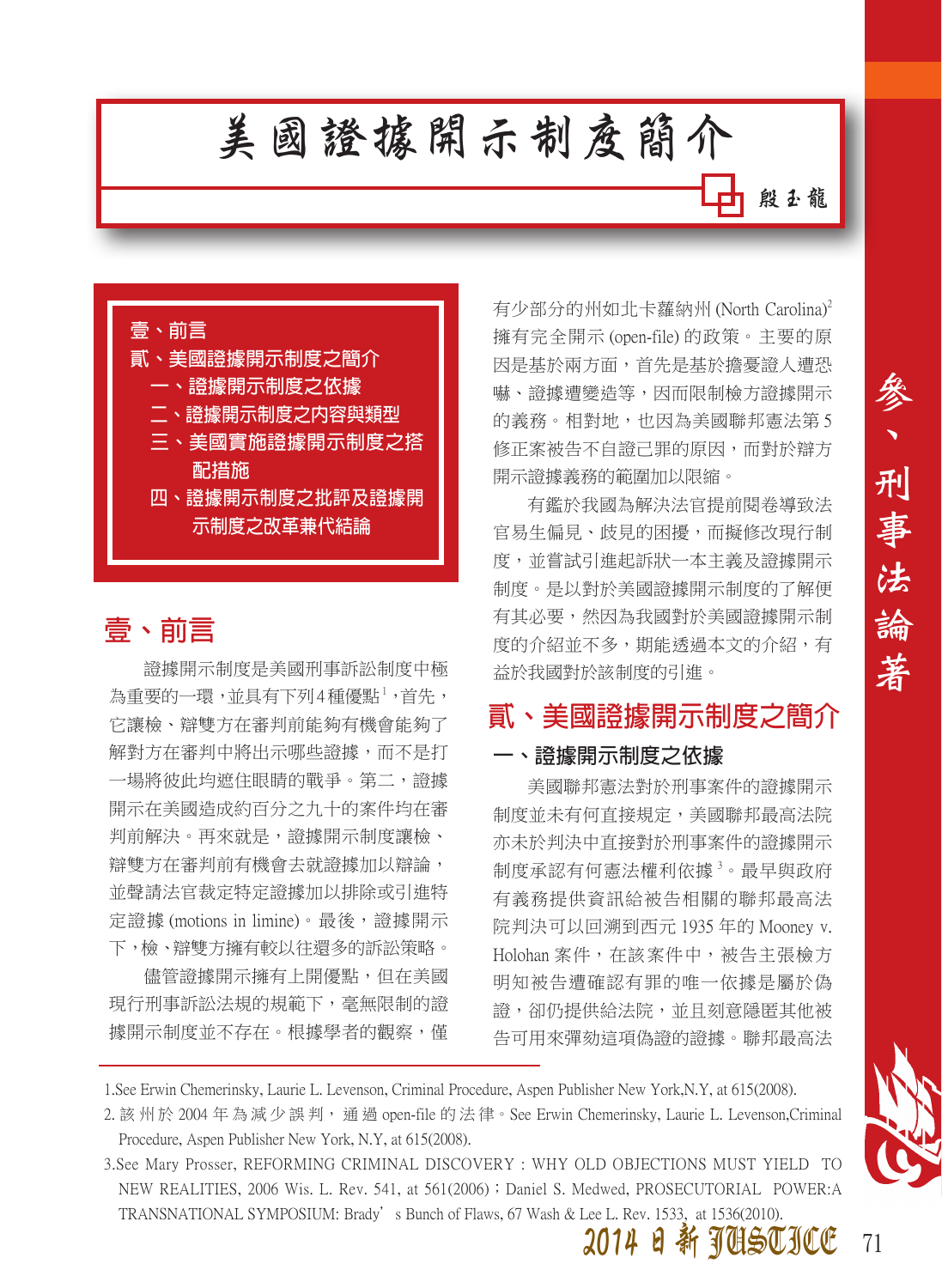# **美國證據開示制度簡介**

**殷玉龍**

參

刑

事

法

論

著



### **壹、前言**

證據開示制度是美國刑事訴訟制度中極 為重要的一環,並具有下列4種優點<sup>1</sup>,首先, 它讓檢、辯雙方在審判前能夠有機會能夠了 解對方在審判中將出示哪些證據,而不是打 一場將彼此均遮住眼睛的戰爭。第二,證據 開示在美國造成約百分之九十的案件均在審 判前解決。再來就是,證據開示制度讓檢、 辯雙方在審判前有機會去就證據加以辯論, 並聲請法官裁定特定證據加以排除或引進特 定證據 (motions in limine)。最後,證據開示 下,檢、辯雙方擁有較以往還多的訴訟策略。

儘管證據開示擁有上開優點,但在美國 現行刑事訴訟法規的規範下,毫無限制的證 據開示制度並不存在。根據學者的觀察,僅 有少部分的州如北卡蘿納州 (North Carolina)<sup>2</sup> 擁有完全開示 (open-file) 的政策。主要的原 因是基於兩方面,首先是基於擔憂證人遭恐 嚇、證據遭變造等,因而限制檢方證據開示 的義務。相對地,也因為美國聯邦憲法第 5 修正案被告不自證己罪的原因,而對於辯方 開示證據義務的範圍加以限縮。

有鑑於我國為解決法官提前閱卷導致法 官易生偏見、歧見的困擾,而擬修改現行制 度,並嘗試引進起訴狀一本主義及證據開示 制度。是以對於美國證據開示制度的了解便 有其必要,然因為我國對於美國證據開示制 度的介紹並不多,期能透過本文的介紹,有 益於我國對於該制度的引進。

## **貳、美國證據開示制度之簡介**

#### **一、證據開示制度之依據**

美國聯邦憲法對於刑事案件的證據開示 制度並未有何直接規定,美國聯邦最高法院 亦未於判決中直接對於刑事案件的證據開示 制度承認有何憲法權利依據<sup>3</sup>。最早與政府 有義務提供資訊給被告相關的聯邦最高法 院判決可以回溯到西元 1935 年的 Mooney v. Holohan 案件,在該案件中,被告主張檢方 明知被告遭確認有罪的唯一依據是屬於偽 證,卻仍提供給法院,並且刻意隱匿其他被 告可用來彈劾這項偽證的證據。聯邦最高法

1.See Erwin Chemerinsky, Laurie L. Levenson, Criminal Procedure, Aspen Publisher New York,N.Y, at 615(2008).

3.See Mary Prosser, REFORMING CRIMINAL DISCOVERY : WHY OLD OBJECTIONS MUST YIELD TO NEW REALITIES, 2006 Wis. L. Rev. 541, at 561(2006) ; Daniel S. Medwed, PROSECUTORIAL POWER:A TRANSNATIONAL SYMPOSIUM: Brady's Bunch of Flaws, 67 Wash & Lee L. Rev. 1533, at 1536(2010).



<sup>2.</sup> 該 州 於 2004 年 為 減 少 誤 判, 通 過 open-file 的 法 律。See Erwin Chemerinsky, Laurie L. Levenson,Criminal Procedure, Aspen Publisher New York, N.Y, at 615(2008).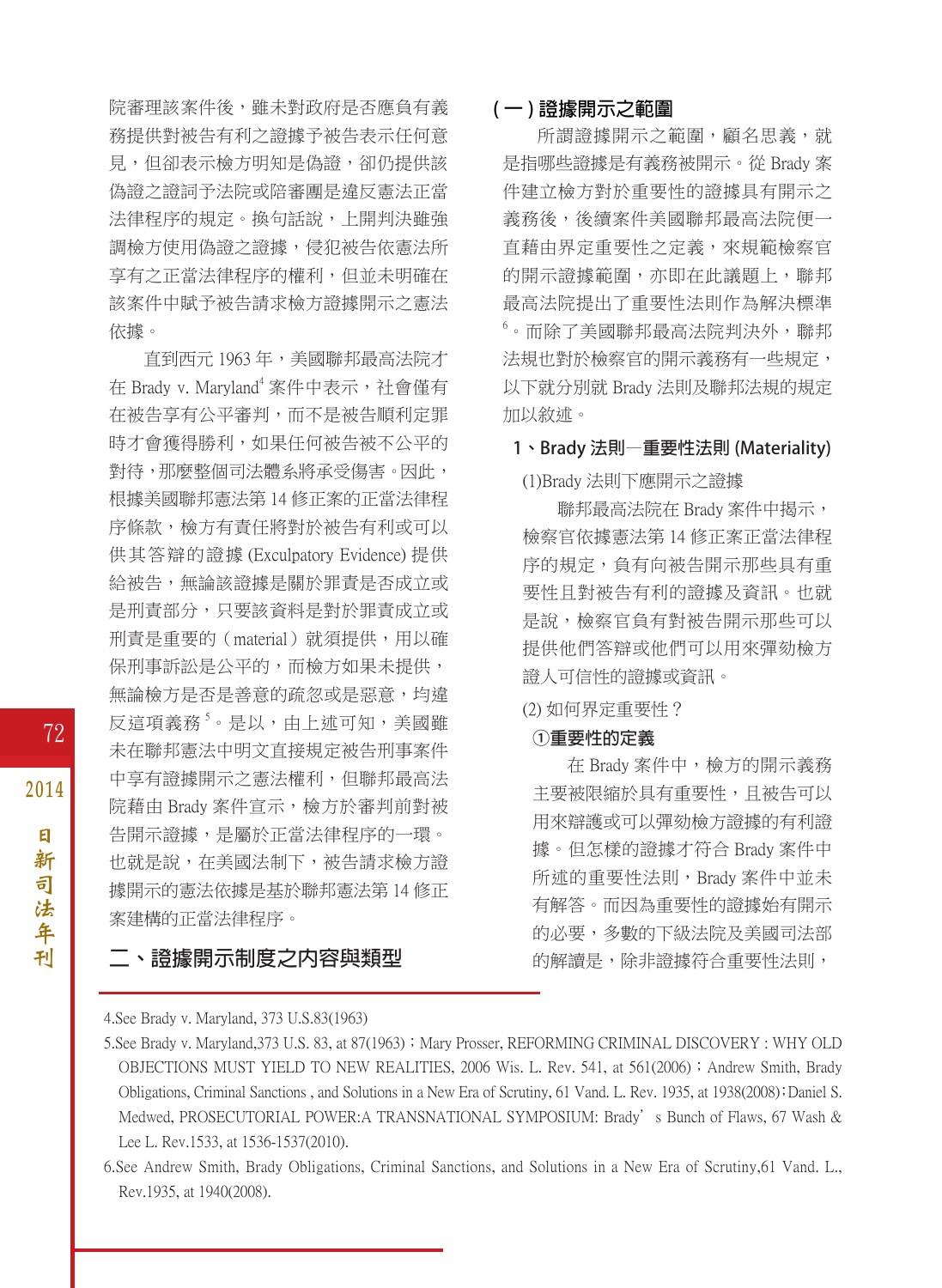院審理該案件後,雖未對政府是否應負有義 務提供對被告有利之證據予被告表示任何意 見,但卻表示檢方明知是偽證,卻仍提供該 偽證之證詞予法院或陪審團是違反憲法正當 法律程序的規定。換句話說,上開判決雖強 調檢方使用偽證之證據,侵犯被告依憲法所 享有之正當法律程序的權利,但並未明確在 該案件中賦予被告請求檢方證據開示之憲法 依據。

直到西元 1963年,美國聯邦最高法院才 在 Brady v. Maryland<sup>4</sup> 案件中表示,社會僅有 在被告享有公平審判,而不是被告順利定罪 時才會獲得勝利,如果任何被告被不公平的 對待,那麼整個司法體系將承受傷害。因此, 根據美國聯邦憲法第 14 修正案的正當法律程 序條款,檢方有責任將對於被告有利或可以 供其答辯的證據 (Exculpatory Evidence) 提供 給被告,無論該證據是關於罪責是否成立或 是刑責部分,只要該資料是對於罪責成立或 刑責是重要的(material)就須提供,用以確 保刑事訴訟是公平的,而檢方如果未提供, 無論檢方是否是善意的疏忽或是惡意,均違 反這項義務<sup>s</sup>。是以,由上述可知,美國雖 未在聯邦憲法中明文直接規定被告刑事案件 中享有證據開示之憲法權利,但聯邦最高法 院藉由 Brady 案件宣示,檢方於審判前對被 告開示證據,是屬於正當法律程序的一環。 也就是說,在美國法制下,被告請求檢方證 據開示的憲法依據是基於聯邦憲法第 14 修正 案建構的正當法律程序。

#### **二、證據開示制度之內容與類型**

#### **( 一 ) 證據開示之範圍**

所謂證據開示之範圍,顧名思義,就 是指哪些證據是有義務被開示。從 Brady 案 件建立檢方對於重要性的證據具有開示之 義務後,後續案件美國聯邦最高法院便一 直藉由界定重要性之定義,來規範檢察官 的開示證據範圍,亦即在此議題上,聯邦 最高法院提出了重要性法則作為解決標準 6 。而除了美國聯邦最高法院判決外,聯邦 法規也對於檢察官的開示義務有一些規定, 以下就分別就 Brady 法則及聯邦法規的規定 加以敘述。

**1、Brady 法則—重要性法則 (Materiality)**

(1)Brady 法則下應開示之證據

聯邦最高法院在 Brady 案件中揭示, 檢察官依據憲法第 14 修正案正當法律程 序的規定,負有向被告開示那些具有重 要性且對被告有利的證據及資訊。也就 是說,檢察官負有對被告開示那些可以 提供他們答辯或他們可以用來彈劾檢方 證人可信性的證據或資訊。

#### (2) 如何界定重要性?

#### **①重要性的定義**

在 Brady 案件中,檢方的開示義務 主要被限縮於具有重要性,且被告可以 用來辯護或可以彈劾檢方證據的有利證 據。但怎樣的證據才符合 Brady 案件中 所述的重要性法則, Brady 案件中並未 有解答。而因為重要性的證據始有開示 的必要,多數的下級法院及美國司法部 的解讀是,除非證據符合重要性法則,

<sup>4.</sup>See Brady v. Maryland, 373 U.S.83(1963)

<sup>5.</sup> See Brady v. Maryland, 373 U.S. 83, at 87(1963); Mary Prosser, REFORMING CRIMINAL DISCOVERY : WHY OLD OBJECTIONS MUST YIELD TO NEW REALITIES, 2006 Wis. L. Rev. 541, at 561(2006); Andrew Smith, Brady Obligations, Criminal Sanctions , and Solutions in a New Era of Scrutiny, 61 Vand. L. Rev. 1935, at 1938(2008);Daniel S. Medwed, PROSECUTORIAL POWER:A TRANSNATIONAL SYMPOSIUM: Brady's Bunch of Flaws, 67 Wash & Lee L. Rev.1533, at 1536-1537(2010).

<sup>6.</sup>See Andrew Smith, Brady Obligations, Criminal Sanctions, and Solutions in a New Era of Scrutiny,61 Vand. L., Rev.1935, at 1940(2008).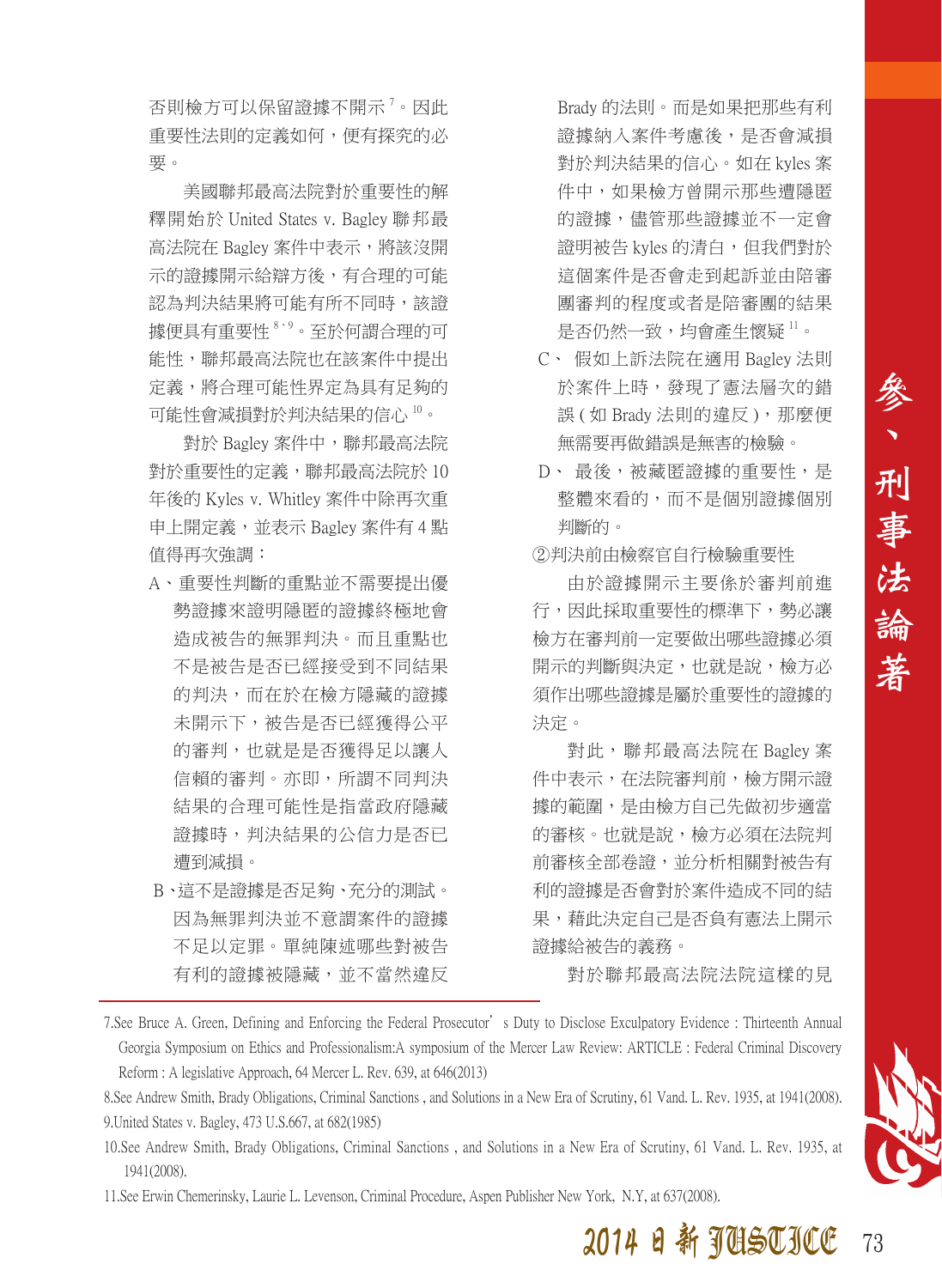否則檢方可以保留證據不開示<sup>,</sup>。因此 重要性法則的定義如何,便有探究的必 要。

美國聯邦最高法院對於重要性的解 釋開始於 United States v. Bagley 聯邦最 高法院在 Bagley 案件中表示, 將該沒開 示的證據開示給辯方後,有合理的可能 認為判決結果將可能有所不同時,該證 據便具有重要性 8、9。至於何謂合理的可 能性,聯邦最高法院也在該案件中提出 定義,將合理可能性界定為具有足夠的 可能性會減損對於判決結果的信心 10。

對於 Bagley 案件中,聯邦最高法院 對於重要性的定義,聯邦最高法院於 10 年後的 Kyles v. Whitley 案件中除再次重 申上開定義,並表示 Bagley 案件有 4 點 值得再次強調:

- A、重要性判斷的重點並不需要提出優 勢證據來證明隱匿的證據終極地會 造成被告的無罪判決。而且重點也 不是被告是否已經接受到不同結果 的判決,而在於在檢方隱藏的證據 未開示下,被告是否已經獲得公平 的審判,也就是是否獲得足以讓人 信賴的審判。亦即,所謂不同判決 結果的合理可能性是指當政府隱藏 證據時,判決結果的公信力是否已 遭到減損。
- B、這不是證據是否足夠、充分的測試。 因為無罪判決並不意謂案件的證據 不足以定罪。單純陳述哪些對被告 有利的證據被隱藏,並不當然違反

Brady 的法則。而是如果把那些有利 證據納入案件考慮後,是否會減損 對於判決結果的信心。如在 kyles 案 件中,如果檢方曾開示那些遭隱匿 的證據,儘管那些證據並不一定會 證明被告 kyles 的清白,但我們對於 這個案件是否會走到起訴並由陪審 團審判的程度或者是陪審團的結果 是否仍然一致,均會產生懷疑 <sup>11</sup>。

- C、 假如上訴法院在適用 Bagley 法則 於案件上時,發現了憲法層次的錯 誤 (如 Brady 法則的違反), 那麼便 無需要再做錯誤是無害的檢驗。
- D、最後,被藏匿證據的重要性,是 整體來看的,而不是個別證據個別 判斷的。

②判決前由檢察官自行檢驗重要性

由於證據開示主要係於審判前進 行,因此採取重要性的標準下,勢必讓 檢方在審判前一定要做出哪些證據必須 開示的判斷與決定,也就是說,檢方必 須作出哪些證據是屬於重要性的證據的 決定。

對此,聯邦最高法院在 Bagley 案 件中表示,在法院審判前,檢方開示證 據的範圍,是由檢方自己先做初步適當 的審核。也就是說,檢方必須在法院判 前審核全部卷證,並分析相關對被告有 利的證據是否會對於案件造成不同的結 果,藉此決定自己是否負有憲法上開示 證據給被告的義務。

對於聯邦最高法院法院這樣的見

7.See Bruce A. Green, Defining and Enforcing the Federal Prosecutor's Duty to Disclose Exculpatory Evidence : Thirteenth Annual Georgia Symposium on Ethics and Professionalism:A symposium of the Mercer Law Review: ARTICLE : Federal Criminal Discovery Reform : A legislative Approach, 64 Mercer L. Rev. 639, at 646(2013)

8.See Andrew Smith, Brady Obligations, Criminal Sanctions , and Solutions in a New Era of Scrutiny, 61 Vand. L. Rev. 1935, at 1941(2008). 9.United States v. Bagley, 473 U.S.667, at 682(1985)

10.See Andrew Smith, Brady Obligations, Criminal Sanctions , and Solutions in a New Era of Scrutiny, 61 Vand. L. Rev. 1935, at 1941(2008).

11.See Erwin Chemerinsky, Laurie L. Levenson, Criminal Procedure, Aspen Publisher New York, N.Y, at 637(2008).

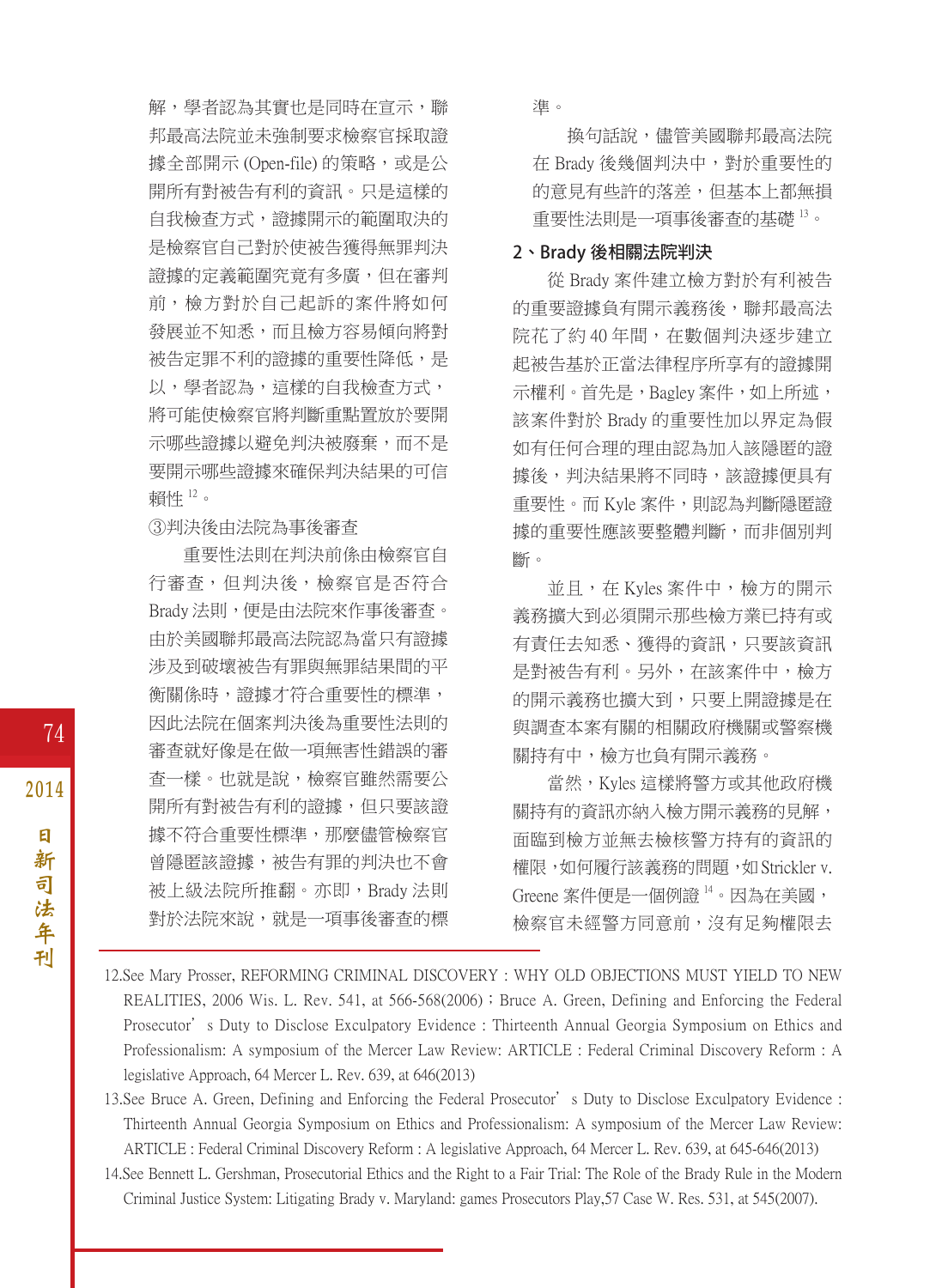解,學者認為其實也是同時在宣示,聯 邦最高法院並未強制要求檢察官採取證 據全部開示 (Open-file) 的策略,或是公 開所有對被告有利的資訊。只是這樣的 自我檢查方式,證據開示的範圍取決的 是檢察官自己對於使被告獲得無罪判決 證據的定義範圍究竟有多廣,但在審判 前,檢方對於自己起訴的案件將如何 發展並不知悉,而且檢方容易傾向將對 被告定罪不利的證據的重要性降低,是 以,學者認為,這樣的自我檢查方式, 將可能使檢察官將判斷重點置放於要開 示哪些證據以避免判決被廢棄,而不是 要開示哪些證據來確保判決結果的可信 賴性 <sup>12</sup>。

③判決後由法院為事後審查

重要性法則在判決前係由檢察官自 行審查,但判決後,檢察官是否符合 Brady 法則,便是由法院來作事後審查。 由於美國聯邦最高法院認為當只有證據 涉及到破壞被告有罪與無罪結果間的平 **衝關係時,** 證據才符合重要性的標準, 因此法院在個案判決後為重要性法則的 審查就好像是在做一項無害性錯誤的審 查一樣。也就是說,檢察官雖然需要公 開所有對被告有利的證據,但只要該證 據不符合重要性標準,那麼儘管檢察官 曾隱匿該證據,被告有罪的判決也不會 被上級法院所推翻。亦即,Brady 法則 對於法院來說,就是一項事後審查的標 準。

換句話說,儘管美國聯邦最高法院 在 Brady 後幾個判決中,對於重要性的 的意見有些許的落差,但基本上都無損 重要性法則是一項事後審查的基礎 <sup>13</sup>。

#### **2、Brady 後相關法院判決**

從 Brady 案件建立檢方對於有利被告 的重要證據負有開示義務後,聯邦最高法 院花了約40年間,在數個判決逐步建立 起被告基於正當法律程序所享有的證據開 示權利。首先是,Bagley 案件,如上所述, 該案件對於 Brady 的重要性加以界定為假 如有任何合理的理由認為加入該隱匿的證 據後,判決結果將不同時,該證據便具有 重要性。而 Kyle 案件,則認為判斷隱匿證 據的重要性應該要整體判斷,而非個別判 斷。

並且,在 Kyles 案件中,檢方的開示 義務擴大到必須開示那些檢方業已持有或 有責任去知悉、獲得的資訊,只要該資訊 是對被告有利。另外,在該案件中,檢方 的開示義務也擴大到,只要上開證據是在 與調查本案有關的相關政府機關或警察機 關持有中,檢方也負有開示義務。

當然,Kyles 這樣將警方或其他政府機 關持有的資訊亦納入檢方開示義務的見解, 面臨到檢方並無去檢核警方持有的資訊的 權限,如何履行該義務的問題,如 Strickler v. Greene 案件便是一個例證 14。因為在美國, 檢察官未經警方同意前,沒有足夠權限去

- 12.See Mary Prosser, REFORMING CRIMINAL DISCOVERY : WHY OLD OBJECTIONS MUST YIELD TO NEW REALITIES, 2006 Wis. L. Rev. 541, at 566-568(2006) : Bruce A. Green, Defining and Enforcing the Federal Prosecutor's Duty to Disclose Exculpatory Evidence : Thirteenth Annual Georgia Symposium on Ethics and Professionalism: A symposium of the Mercer Law Review: ARTICLE : Federal Criminal Discovery Reform : A legislative Approach, 64 Mercer L. Rev. 639, at 646(2013)
- 13.See Bruce A. Green, Defining and Enforcing the Federal Prosecutor's Duty to Disclose Exculpatory Evidence : Thirteenth Annual Georgia Symposium on Ethics and Professionalism: A symposium of the Mercer Law Review: ARTICLE : Federal Criminal Discovery Reform : A legislative Approach, 64 Mercer L. Rev. 639, at 645-646(2013)
- 14.See Bennett L. Gershman, Prosecutorial Ethics and the Right to a Fair Trial: The Role of the Brady Rule in the Modern Criminal Justice System: Litigating Brady v. Maryland: games Prosecutors Play,57 Case W. Res. 531, at 545(2007).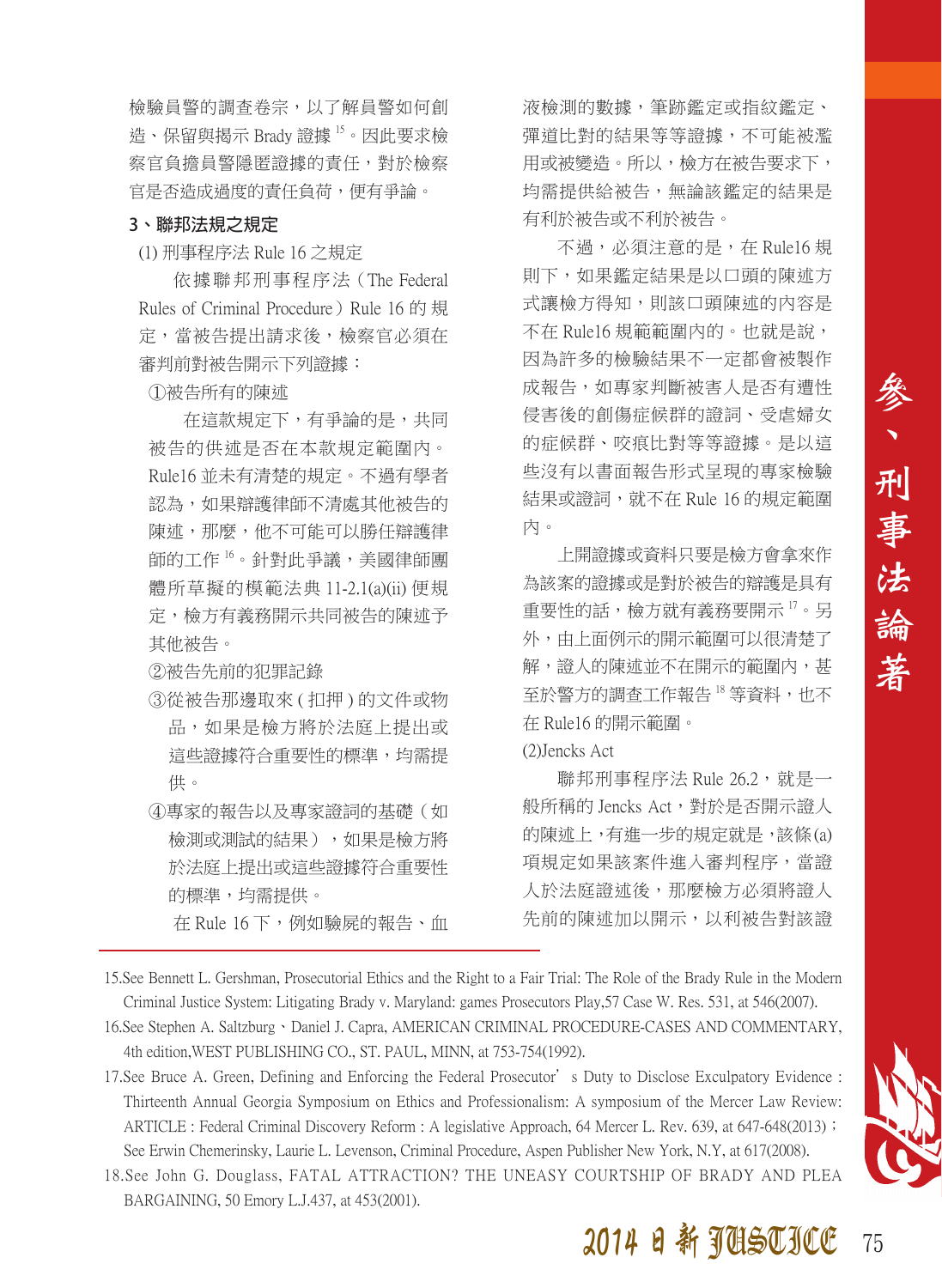檢驗員警的調查卷宗,以了解員警如何創 造、保留與揭示 Brady 證據 15。因此要求檢 察官負擔員警隱匿證據的責任,對於檢察 官是否造成過度的責任負荷,便有爭論。

#### **3、聯邦法規之規定**

(1) 刑事程序法 Rule 16 之規定

依 據 聯 邦 刑 事 程 序 法(The Federal Rules of Criminal Procedure) Rule 16 的 規 定,當被告提出請求後,檢察官必須在 審判前對被告開示下列證據:

①被告所有的陳述

在這款規定下,有爭論的是,共同 被告的供述是否在本款規定範圍內。 Rule16 並未有清楚的規定。不過有學者 認為,如果辯護律師不清處其他被告的 陳述,那麼,他不可能可以勝任辯護律 師的工作 16。針對此爭議,美國律師團 體所草擬的模範法典 11-2.1(a)(ii) 便規 定,檢方有義務開示共同被告的陳述予 其他被告。

②被告先前的犯罪記錄

- ③從被告那邊取來 ( 扣押 ) 的文件或物 品,如果是檢方將於法庭上提出或 這些證據符合重要性的標準,均需提 供。
- ④專家的報告以及專家證詞的基礎(如 檢測或測試的結果),如果是檢方將 於法庭上提出或這些證據符合重要性 的標準,均需提供。 在 Rule 16 下,例如驗屍的報告、血

液檢測的數據,筆跡鑑定或指紋鑑定、 彈道比對的結果等等證據,不可能被濫 用或被變造。所以,檢方在被告要求下, 均需提供給被告,無論該鑑定的結果是 有利於被告或不利於被告。

不過,必須注意的是, 在 Rule16 規 則下,如果鑑定結果是以口頭的陳述方 式讓檢方得知,則該口頭陳述的內容是 不在 Rule16 規範範圍內的。也就是說, 因為許多的檢驗結果不一定都會被製作 成報告,如專家判斷被害人是否有遭性 侵害後的創傷症候群的證詞、受虐婦女 的症候群、咬痕比對等等證據。是以這 些沒有以書面報告形式呈現的專家檢驗 結果或證詞,就不在 Rule 16 的規定範圍 內。

上開證據或資料只要是檢方會拿來作 為該案的證據或是對於被告的辯護是具有 重要性的話,檢方就有義務要開示 17。另 外,由上面例示的開示範圍可以很清楚了 解,證人的陳述並不在開示的範圍內,甚 至於警方的調查工作報告 18 等資料, 也不 在 Rule16 的開示範圍。

(2)Jencks Act

聯邦刑事程序法 Rule 26.2,就是一 般所稱的 Jencks Act,對於是否開示證人 的陳述上,有進一步的規定就是,該條 (a) 項規定如果該案件進入審判程序,當證 人於法庭證述後,那麼檢方必須將證人 先前的陳述加以開示,以利被告對該證

- 15.See Bennett L. Gershman, Prosecutorial Ethics and the Right to a Fair Trial: The Role of the Brady Rule in the Modern Criminal Justice System: Litigating Brady v. Maryland: games Prosecutors Play,57 Case W. Res. 531, at 546(2007).
- 16. See Stephen A. Saltzburg 、Daniel J. Capra, AMERICAN CRIMINAL PROCEDURE-CASES AND COMMENTARY, 4th edition,WEST PUBLISHING CO., ST. PAUL, MINN, at 753-754(1992).

17.See Bruce A. Green, Defining and Enforcing the Federal Prosecutor's Duty to Disclose Exculpatory Evidence : Thirteenth Annual Georgia Symposium on Ethics and Professionalism: A symposium of the Mercer Law Review: ARTICLE : Federal Criminal Discovery Reform : A legislative Approach, 64 Mercer L. Rev. 639, at 647-648(2013); See Erwin Chemerinsky, Laurie L. Levenson, Criminal Procedure, Aspen Publisher New York, N.Y, at 617(2008).

18.See John G. Douglass, FATAL ATTRACTION? THE UNEASY COURTSHIP OF BRADY AND PLEA BARGAINING, 50 Emory L.J.437, at 453(2001).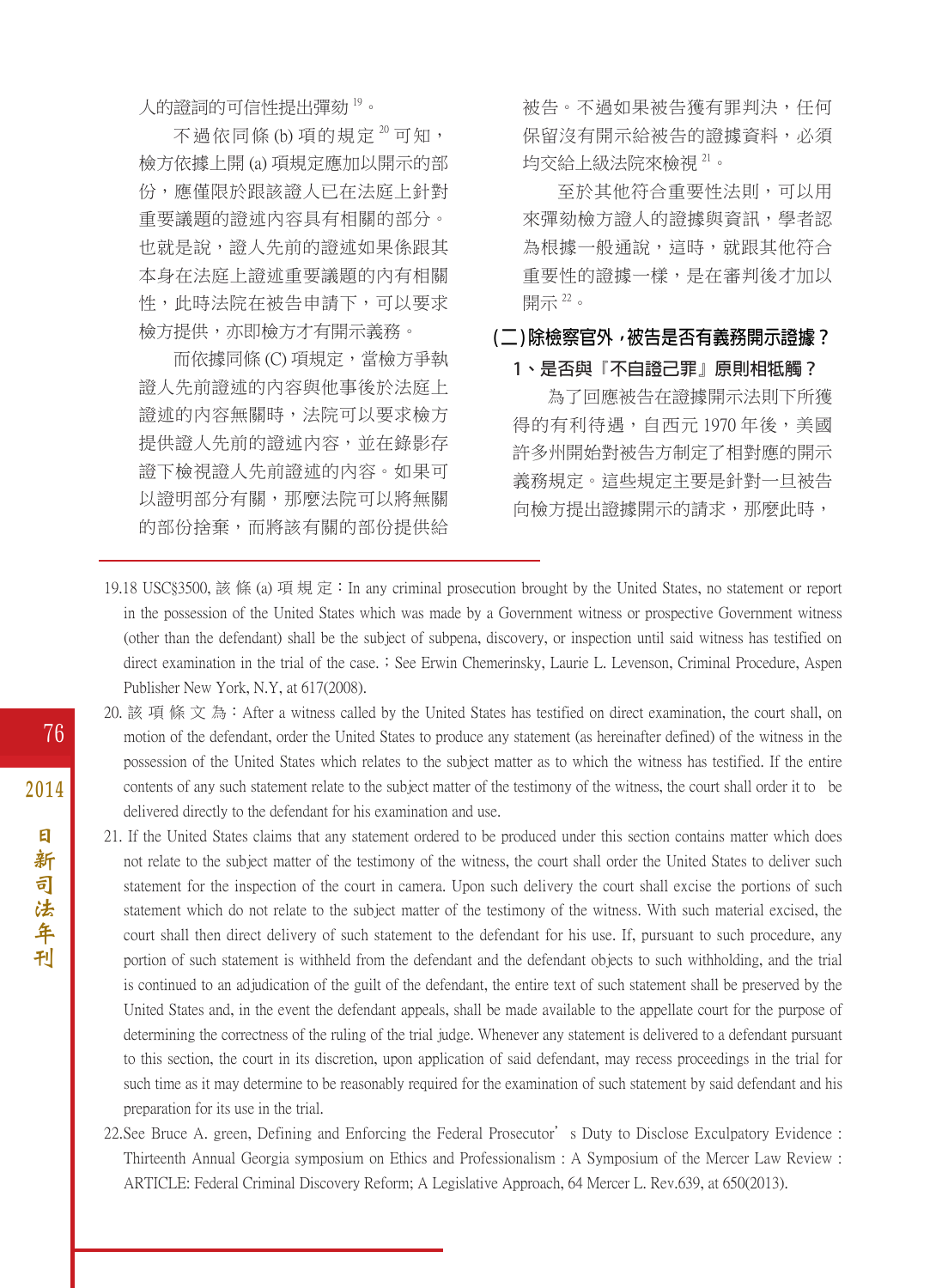人的證詞的可信性提出彈劾 19。

不過依同條 (b) 項的規定<sup>20</sup> 可知, 檢方依據上開 (a) 項規定應加以開示的部 份,應僅限於跟該證人已在法庭上針對 重要議題的證述內容具有相關的部分。 也就是說,證人先前的證述如果係跟其 本身在法庭上證述重要議題的內有相關 性,此時法院在被告申請下,可以要求 檢方提供,亦即檢方才有開示義務。

而依據同條 (C) 項規定,當檢方爭執 證人先前證述的內容與他事後於法庭上 證述的內容無關時,法院可以要求檢方 提供證人先前的證述內容,並在錄影存 證下檢視證人先前證述的內容。如果可 以證明部分有關,那麼法院可以將無關 的部份捨棄,而將該有關的部份提供給

被告。不過如果被告獲有罪判決,任何 保留沒有開示給被告的證據資料,必須 均交給上級法院來檢視 <sup>21</sup>。

至於其他符合重要性法則,可以用 來彈劾檢方證人的證據與資訊,學者認 為根據一般通說,這時,就跟其他符合 重要性的證據一樣,是在審判後才加以 開示 <sup>22</sup>。

#### **( 二 ) 除檢察官外,被告是否有義務開示證據?**

#### **1、是否與『不自證己罪』原則相牴觸?**

為了回應被告在證據開示法則下所獲 得的有利待遇,自西元1970年後,美國 許多州開始對被告方制定了相對應的開示 義務規定。這些規定主要是針對一旦被告 向檢方提出證據開示的請求,那麼此時,

- 19.18 USC§3500, 該 條 (a) 項 規 定:In any criminal prosecution brought by the United States, no statement or report in the possession of the United States which was made by a Government witness or prospective Government witness (other than the defendant) shall be the subject of subpena, discovery, or inspection until said witness has testified on direct examination in the trial of the case.; See Erwin Chemerinsky, Laurie L. Levenson, Criminal Procedure, Aspen Publisher New York, N.Y, at 617(2008).
- 20. 該 項 條 文 為: After a witness called by the United States has testified on direct examination, the court shall, on motion of the defendant, order the United States to produce any statement (as hereinafter defined) of the witness in the possession of the United States which relates to the subject matter as to which the witness has testified. If the entire contents of any such statement relate to the subject matter of the testimony of the witness, the court shall order it to be delivered directly to the defendant for his examination and use.
- 21. If the United States claims that any statement ordered to be produced under this section contains matter which does not relate to the subject matter of the testimony of the witness, the court shall order the United States to deliver such statement for the inspection of the court in camera. Upon such delivery the court shall excise the portions of such statement which do not relate to the subject matter of the testimony of the witness. With such material excised, the court shall then direct delivery of such statement to the defendant for his use. If, pursuant to such procedure, any portion of such statement is withheld from the defendant and the defendant objects to such withholding, and the trial is continued to an adjudication of the guilt of the defendant, the entire text of such statement shall be preserved by the United States and, in the event the defendant appeals, shall be made available to the appellate court for the purpose of determining the correctness of the ruling of the trial judge. Whenever any statement is delivered to a defendant pursuant to this section, the court in its discretion, upon application of said defendant, may recess proceedings in the trial for such time as it may determine to be reasonably required for the examination of such statement by said defendant and his preparation for its use in the trial.
- 22.See Bruce A. green, Defining and Enforcing the Federal Prosecutor's Duty to Disclose Exculpatory Evidence : Thirteenth Annual Georgia symposium on Ethics and Professionalism : A Symposium of the Mercer Law Review : ARTICLE: Federal Criminal Discovery Reform; A Legislative Approach, 64 Mercer L. Rev.639, at 650(2013).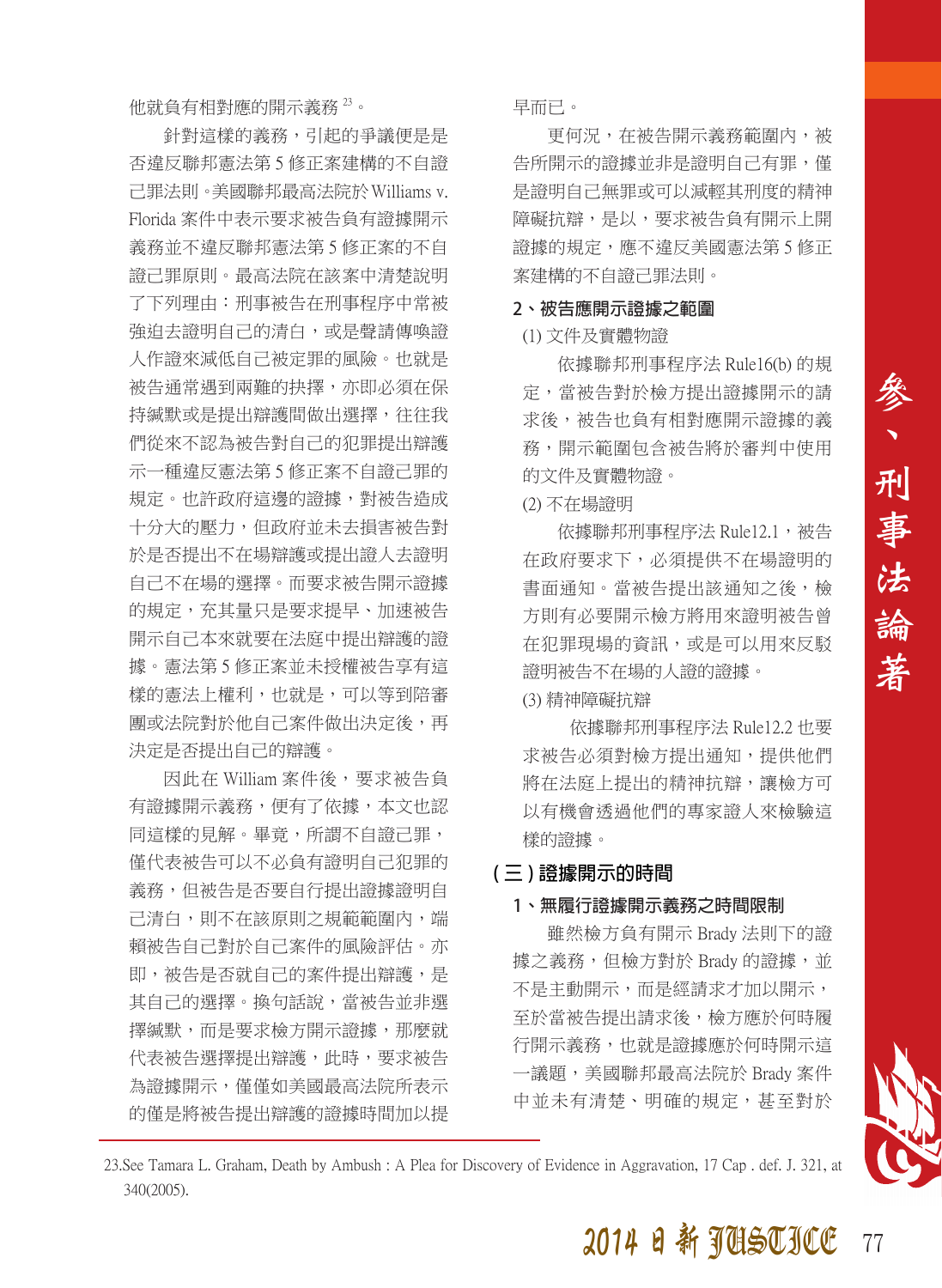他就負有相對應的開示義務 <sup>23</sup>。

針對這樣的義務,引起的爭議便是是 否違反聯邦憲法第 5 修正案建構的不自證 己罪法則。美國聯邦最高法院於Williams v. Florida 案件中表示要求被告負有證據開示 義務並不違反聯邦憲法第 5 修正案的不自 證己罪原則。最高法院在該案中清楚說明 了下列理由:刑事被告在刑事程序中常被 強迫去證明自己的清白,或是聲請傳喚證 人作證來減低自己被定罪的風險。也就是 被告通常遇到兩難的抉擇,亦即必須在保 持緘默或是提出辯護間做出選擇,往往我 們從來不認為被告對自己的犯罪提出辯護 示一種違反憲法第 5 修正案不自證己罪的 規定。也許政府這邊的證據,對被告造成 十分大的壓力,但政府並未去損害被告對 於是否提出不在場辯護或提出證人去證明 自己不在場的選擇。而要求被告開示證據 的規定,充其量只是要求提早、加速被告 開示自己本來就要在法庭中提出辯護的證 據。憲法第 5 修正案並未授權被告享有這 樣的憲法上權利,也就是,可以等到陪審 團或法院對於他自己案件做出決定後,再 決定是否提出自己的辯護。

因此在 William 案件後,要求被告負 有證據開示義務,便有了依據,本文也認 同這樣的見解。畢竟,所謂不自證己罪, 僅代表被告可以不必負有證明自己犯罪的 義務,但被告是否要自行提出證據證明自 己清白,則不在該原則之規範範圍內,端 賴被告自己對於自己案件的風險評估。亦 即,被告是否就自己的案件提出辯護,是 其自己的選擇。換句話說,當被告並非選 擇緘默,而是要求檢方開示證據,那麼就 代表被告選擇提出辯護,此時,要求被告 為證據開示,僅僅如美國最高法院所表示 的僅是將被告提出辯護的證據時間加以提 早而已。

更何況,在被告開示義務範圍內,被 告所開示的證據並非是證明自己有罪,僅 是證明自己無罪或可以減輕其刑度的精神 障礙抗辯,是以,要求被告負有開示上開 證據的規定,應不違反美國憲法第 5 修正 案建構的不自證己罪法則。

#### **2、被告應開示證據之範圍**

#### (1) 文件及實體物證

依據聯邦刑事程序法 Rule16(b) 的規 定,當被告對於檢方提出證據開示的請 求後,被告也負有相對應開示證據的義 務,開示範圍包含被告將於審判中使用 的文件及實體物證。

(2) 不在場證明

依據聯邦刑事程序法 Rule12.1, 被告 在政府要求下,必須提供不在場證明的 書面通知。當被告提出該通知之後,檢 方則有必要開示檢方將用來證明被告曾 在犯罪現場的資訊,或是可以用來反駁 證明被告不在場的人證的證據。

(3) 精神障礙抗辯

 依據聯邦刑事程序法 Rule12.2 也要 求被告必須對檢方提出通知,提供他們 將在法庭上提出的精神抗辯,讓檢方可 以有機會透過他們的專家證人來檢驗這 樣的證據。

#### **( 三 ) 證據開示的時間**

#### **1、無履行證據開示義務之時間限制**

雖然檢方負有開示 Brady 法則下的證 據之義務,但檢方對於 Brady 的證據,並 不是主動開示,而是經請求才加以開示, 至於當被告提出請求後,檢方應於何時履 行開示義務,也就是證據應於何時開示這 一議題,美國聯邦最高法院於 Brady 案件 中並未有清楚、明確的規定,甚至對於



<sup>23.</sup>See Tamara L. Graham, Death by Ambush : A Plea for Discovery of Evidence in Aggravation, 17 Cap . def. J. 321, at 340(2005).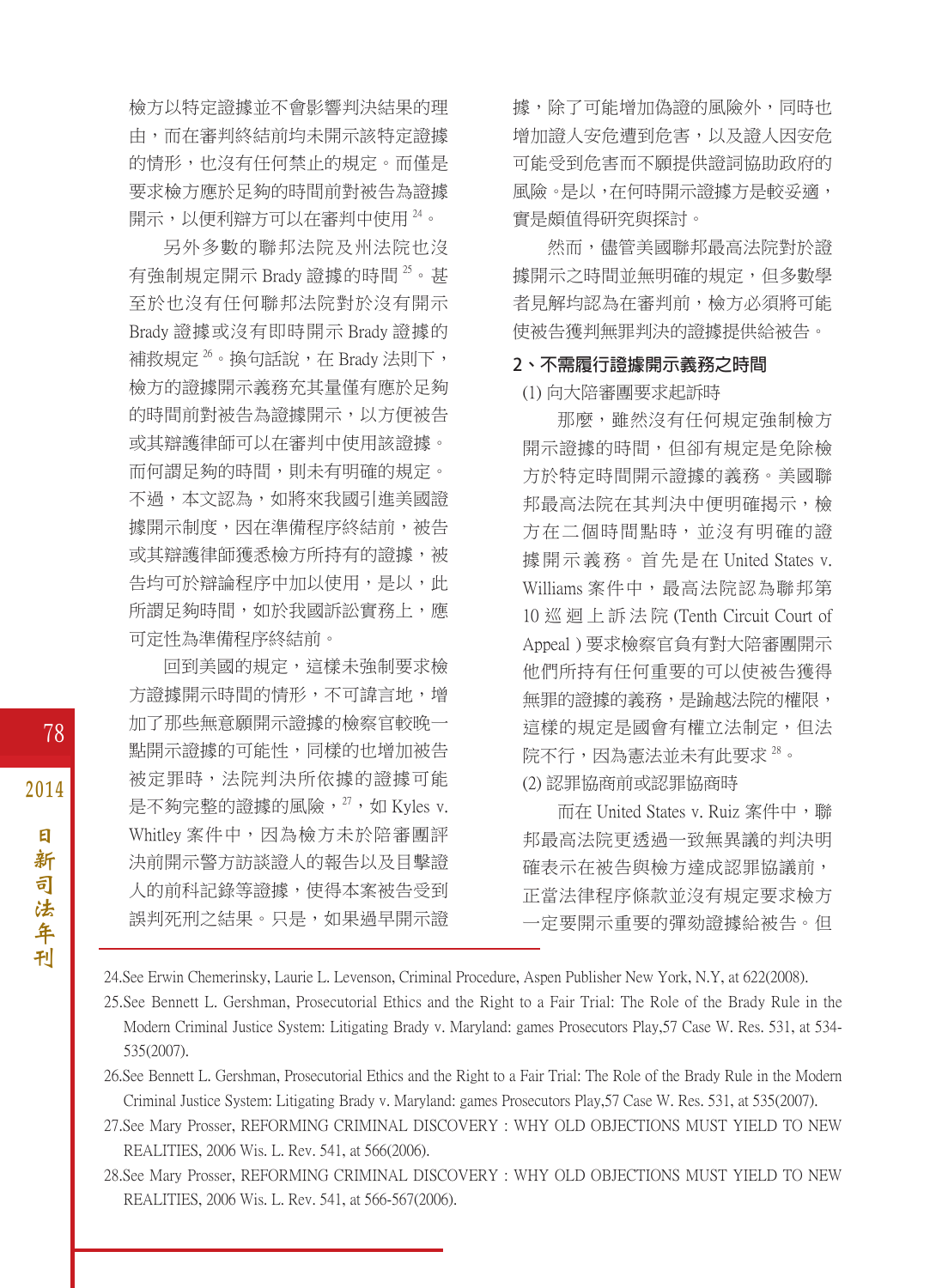檢方以特定證據並不會影響判決結果的理 由,而在審判終結前均未開示該特定證據 的情形,也沒有任何禁止的規定。而僅是 要求檢方應於足夠的時間前對被告為證據 開示,以便利辯方可以在審判中使用  $^{24}$ 。

另外多數的聯邦法院及州法院也沒 有強制規定開示 Brady 證據的時間 $^{25}$ 。甚 至於也沒有任何聯邦法院對於沒有開示 Brady 證據或沒有即時開示 Brady 證據的 補救規定<sup>26</sup>。換句話說,在 Brady 法則下, 檢方的證據開示義務充其量僅有應於足夠 的時間前對被告為證據開示,以方便被告 或其辯護律師可以在審判中使用該證據。 而何謂足夠的時間,則未有明確的規定。 不過,本文認為,如將來我國引進美國證 據開示制度,因在準備程序終結前,被告 或其辯護律師獲悉檢方所持有的證據,被 告均可於辯論程序中加以使用,是以,此 所謂足夠時間,如於我國訴訟實務上,應 可定性為準備程序終結前。

回到美國的規定,這樣未強制要求檢 方證據開示時間的情形,不可諱言地,增 加了那些無意願開示證據的檢察官較晚一 點開示證據的可能性,同樣的也增加被告 被定罪時,法院判決所依據的證據可能 是不夠完整的證據的風險, $^{27}$ , 如 Kyles v. Whitley 案件中,因為檢方未於陪審團評 決前開示警方訪談證人的報告以及目擊證 人的前科記錄等證據,使得本案被告受到 誤判死刑之結果。只是,如果過早開示證 據,除了可能增加偽證的風險外,同時也 增加證人安危遭到危害,以及證人因安危 可能受到危害而不願提供證詞協助政府的 風險。是以,在何時開示證據方是較妥適, 實是頗值得研究與探討。

然而,儘管美國聯邦最高法院對於證 據開示之時間並無明確的規定,但多數學 者見解均認為在審判前,檢方必須將可能 使被告獲判無罪判決的證據提供給被告。

#### **2、不需履行證據開示義務之時間**

(1) 向大陪審團要求起訴時

那麼,雖然沒有任何規定強制檢方 開示證據的時間,但卻有規定是免除檢 方於特定時間開示證據的義務。美國聯 邦最高法院在其判決中便明確揭示,檢 方在二個時間點時,並沒有明確的證 據 開 示 義 務。 首 先 是 在 United States v. Williams 案件中,最高法院認為聯邦第 10 巡 迴 上 訴 法 院 (Tenth Circuit Court of Appeal ) 要求檢察官負有對大陪審團開示 他們所持有任何重要的可以使被告獲得 無罪的證據的義務,是踰越法院的權限, 這樣的規定是國會有權立法制定,但法 院不行,因為憲法並未有此要求 28。 (2) 認罪協商前或認罪協商時

而在 United States v. Ruiz 案件中,聯 邦最高法院更透過一致無異議的判決明 確表示在被告與檢方達成認罪協議前, 正當法律程序條款並沒有規定要求檢方 一定要開示重要的彈劾證據給被告。但

24.See Erwin Chemerinsky, Laurie L. Levenson, Criminal Procedure, Aspen Publisher New York, N.Y, at 622(2008).

25.See Bennett L. Gershman, Prosecutorial Ethics and the Right to a Fair Trial: The Role of the Brady Rule in the Modern Criminal Justice System: Litigating Brady v. Maryland: games Prosecutors Play,57 Case W. Res. 531, at 534- 535(2007).

26.See Bennett L. Gershman, Prosecutorial Ethics and the Right to a Fair Trial: The Role of the Brady Rule in the Modern Criminal Justice System: Litigating Brady v. Maryland: games Prosecutors Play,57 Case W. Res. 531, at 535(2007).

27.See Mary Prosser, REFORMING CRIMINAL DISCOVERY : WHY OLD OBJECTIONS MUST YIELD TO NEW REALITIES, 2006 Wis. L. Rev. 541, at 566(2006).

28.See Mary Prosser, REFORMING CRIMINAL DISCOVERY : WHY OLD OBJECTIONS MUST YIELD TO NEW REALITIES, 2006 Wis. L. Rev. 541, at 566-567(2006).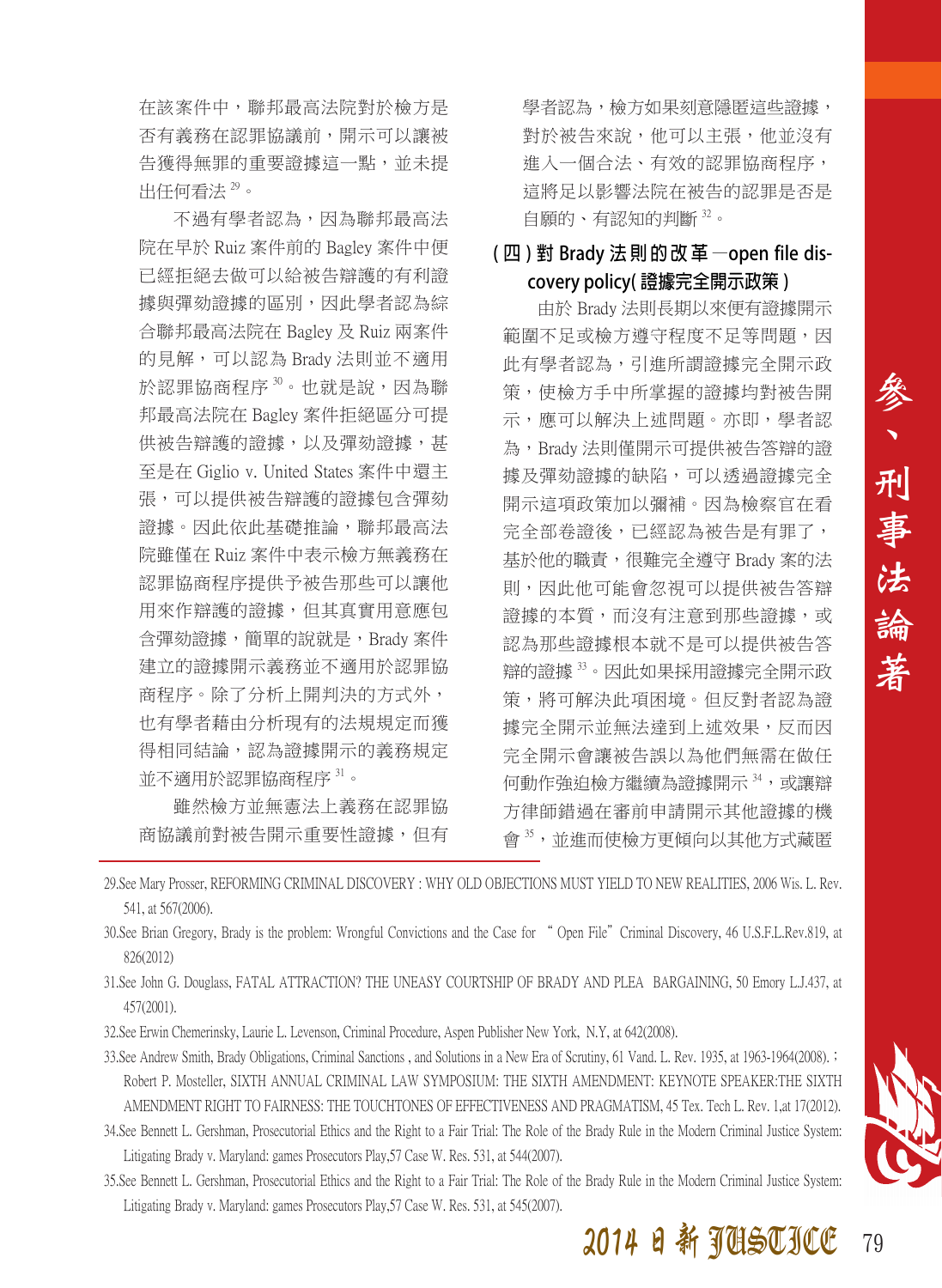在該案件中,聯邦最高法院對於檢方是 否有義務在認罪協議前,開示可以讓被 告獲得無罪的重要證據這一點,並未提 出任何看法 29。

不過有學者認為,因為聯邦最高法 院在早於 Ruiz 案件前的 Bagley 案件中便 已經拒絕去做可以給被告辯護的有利證 據與彈劾證據的區別,因此學者認為綜 合聯邦最高法院在 Bagley 及 Ruiz 兩案件 的見解,可以認為 Brady 法則並不適用 於認罪協商程序30。也就是說,因為聯 邦最高法院在 Bagley 案件拒絕區分可提 供被告辯護的證據,以及彈劾證據,甚 至是在 Giglio v. United States 案件中還主 張,可以提供被告辯護的證據包含彈劾 證據。因此依此基礎推論,聯邦最高法 院雖僅在 Ruiz 案件中表示檢方無義務在 認罪協商程序提供予被告那些可以讓他 用來作辯護的證據,但其真實用意應包 含彈劾證據,簡單的說就是,Brady 案件 建立的證據開示義務並不適用於認罪協 商程序。除了分析上開判決的方式外, 也有學者藉由分析現有的法規規定而獲 得相同結論,認為證據開示的義務規定 並不適用於認罪協商程序 <sup>31</sup>。

雖然檢方並無憲法上義務在認罪協 商協議前對被告開示重要性證據,但有 學者認為,檢方如果刻意隱匿這些證據, 對於被告來說,他可以主張,他並沒有 進入一個合法、有效的認罪協商程序, 這將足以影響法院在被告的認罪是否是 自願的、有認知的判斷 <sup>32</sup>。

#### **( 四 ) 對 Brady 法 則 的 改 革 —open file discovery policy( 證據完全開示政策 )**

由於 Brady 法則長期以來便有證據開示 範圍不足或檢方遵守程度不足等問題,因 此有學者認為,引進所謂證據完全開示政 策,使檢方手中所掌握的證據均對被告開 示,應可以解決上述問題。亦即,學者認 為,Brady 法則僅開示可提供被告答辯的證 據及彈劾證據的缺陷,可以透過證據完全 開示這項政策加以彌補。因為檢察官在看 完全部卷證後,已經認為被告是有罪了, 基於他的職責,很難完全遵守 Brady 案的法 則,因此他可能會忽視可以提供被告答辯 證據的本質,而沒有注意到那些證據,或 認為那些證據根本就不是可以提供被告答 辯的證據 <sup>33</sup>。因此如果採用證據完全開示政 策,將可解決此項困境。但反對者認為證 據完全開示並無法達到上述效果,反而因 完全開示會讓被告誤以為他們無需在做任 何動作強迫檢方繼續為證據開示 34,或讓辯 方律師錯過在審前申請開示其他證據的機 會 35,並進而使檢方更傾向以其他方式藏匿

- 29.See Mary Prosser, REFORMING CRIMINAL DISCOVERY : WHY OLD OBJECTIONS MUST YIELD TO NEW REALITIES, 2006 Wis. L. Rev. 541, at 567(2006).
- 30.See Brian Gregory, Brady is the problem: Wrongful Convictions and the Case for " Open File"Criminal Discovery, 46 U.S.F.L.Rev.819, at 826(2012)
- 31.See John G. Douglass, FATAL ATTRACTION? THE UNEASY COURTSHIP OF BRADY AND PLEA BARGAINING, 50 Emory L.J.437, at 457(2001).
- 32.See Erwin Chemerinsky, Laurie L. Levenson, Criminal Procedure, Aspen Publisher New York, N.Y, at 642(2008).
- 33.See Andrew Smith, Brady Obligations, Criminal Sanctions , and Solutions in a New Era of Scrutiny, 61 Vand. L. Rev. 1935, at 1963-1964(2008).; Robert P. Mosteller, SIXTH ANNUAL CRIMINAL LAW SYMPOSIUM: THE SIXTH AMENDMENT: KEYNOTE SPEAKER:THE SIXTH AMENDMENT RIGHT TO FAIRNESS: THE TOUCHTONES OF EFFECTIVENESS AND PRAGMATISM, 45 Tex. Tech L. Rev. 1,at 17(2012).
- 34.See Bennett L. Gershman, Prosecutorial Ethics and the Right to a Fair Trial: The Role of the Brady Rule in the Modern Criminal Justice System: Litigating Brady v. Maryland: games Prosecutors Play,57 Case W. Res. 531, at 544(2007).
- 35.See Bennett L. Gershman, Prosecutorial Ethics and the Right to a Fair Trial: The Role of the Brady Rule in the Modern Criminal Justice System: Litigating Brady v. Maryland: games Prosecutors Play,57 Case W. Res. 531, at 545(2007).

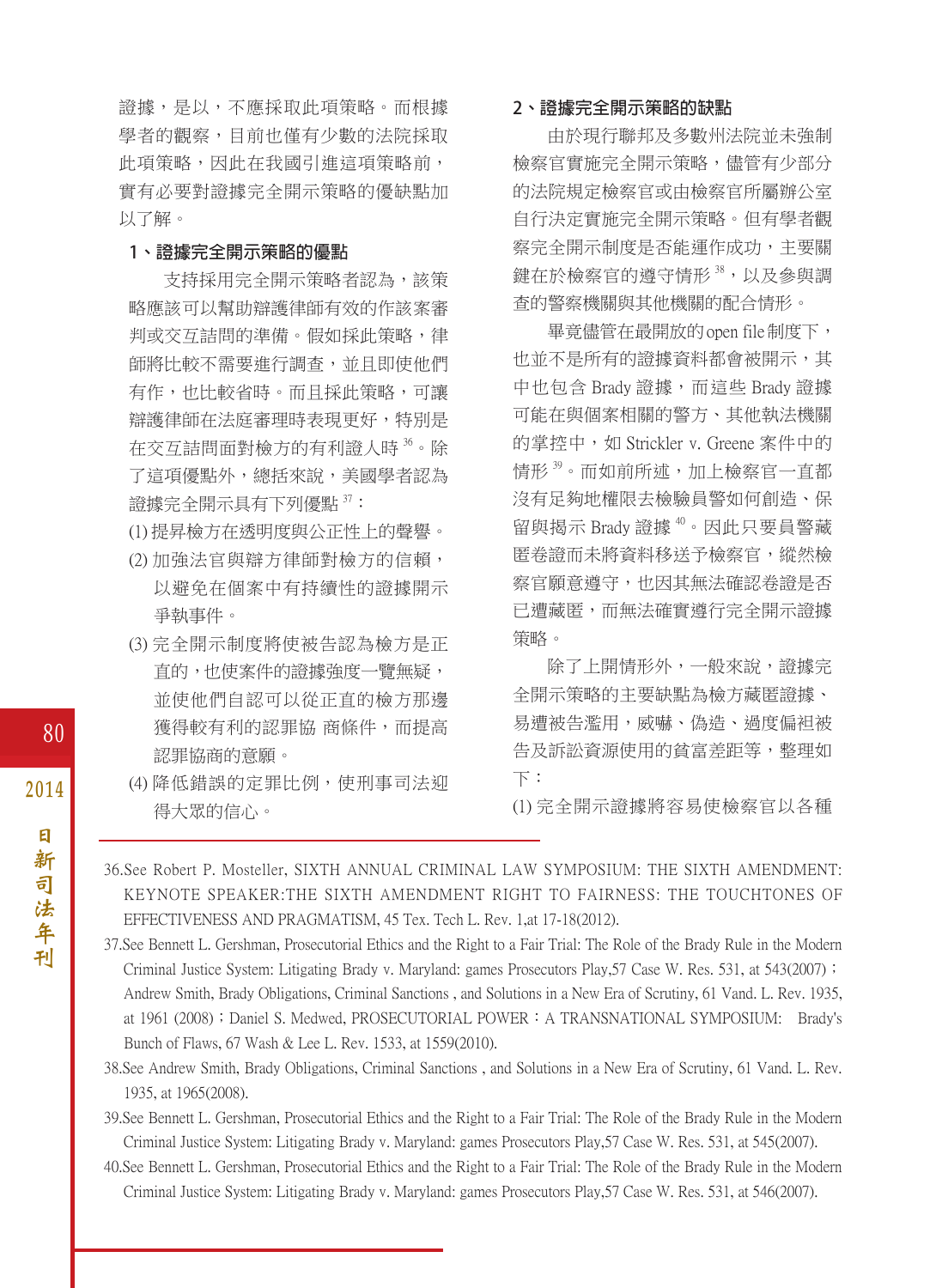證據,是以,不應採取此項策略。而根據 學者的觀察,目前也僅有少數的法院採取 此項策略,因此在我國引進這項策略前, 實有必要對證據完全開示策略的優缺點加 以了解。

#### **1、證據完全開示策略的優點**

支持採用完全開示策略者認為,該策 略應該可以幫助辯護律師有效的作該案審 判或交互詰問的準備。假如採此策略,律 師將比較不需要進行調查,並且即使他們 有作,也比較省時。而且採此策略,可讓 辯護律師在法庭審理時表現更好,特別是 在交互詰問面對檢方的有利證人時36。除 了這項優點外,總括來說,美國學者認為 證據完全開示具有下列優點 37:

- (1) 提昇檢方在透明度與公正性上的聲譽。
- (2) 加強法官與辯方律師對檢方的信賴, 以避免在個案中有持續性的證據開示 爭執事件。
- (3) 完全開示制度將使被告認為檢方是正 直的,也使案件的證據強度一覽無疑, 並使他們自認可以從正直的檢方那邊 獲得較有利的認罪協 商條件,而提高 認罪協商的意願。
- (4) 降低錯誤的定罪比例,使刑事司法迎 得大眾的信心。

#### **2、證據完全開示策略的缺點**

由於現行聯邦及多數州法院並未強制 檢察官實施完全開示策略,儘管有少部分 的法院規定檢察官或由檢察官所屬辦公室 自行決定實施完全開示策略。但有學者觀 察完全開示制度是否能運作成功,主要關 鍵在於檢察官的遵守情形<sup>38,</sup>以及參與調 查的警察機關與其他機關的配合情形。

畢竟儘管在最開放的open file制度下, 也並不是所有的證據資料都會被開示,其 中也包含 Brady 證據,而這些 Brady 證據 可能在與個案相關的警方、其他執法機關 的掌控中,如 Strickler v. Greene 案件中的 情形  $39\,$ 。而如前所述,加上檢察官一直都 沒有足夠地權限去檢驗員警如何創造、保 留與揭示 Brady 證據 40。因此只要員警藏 匿卷證而未將資料移送予檢察官,縱然檢 察官願意遵守,也因其無法確認卷證是否 已遭藏匿,而無法確實遵行完全開示證據 策略。

除了上開情形外,一般來說,證據完 全開示策略的主要缺點為檢方藏匿證據、 易遭被告濫用,威嚇、偽造、過度偏袒被 告及訴訟資源使用的貧富差距等,整理如 下:

(1) 完全開示證據將容易使檢察官以各種

36.See Robert P. Mosteller, SIXTH ANNUAL CRIMINAL LAW SYMPOSIUM: THE SIXTH AMENDMENT: KEYNOTE SPEAKER:THE SIXTH AMENDMENT RIGHT TO FAIRNESS: THE TOUCHTONES OF EFFECTIVENESS AND PRAGMATISM, 45 Tex. Tech L. Rev. 1,at 17-18(2012).

37.See Bennett L. Gershman, Prosecutorial Ethics and the Right to a Fair Trial: The Role of the Brady Rule in the Modern Criminal Justice System: Litigating Brady v. Maryland: games Prosecutors Play,57 Case W. Res. 531, at 543(2007); Andrew Smith, Brady Obligations, Criminal Sanctions , and Solutions in a New Era of Scrutiny, 61 Vand. L. Rev. 1935, at 1961 (2008); Daniel S. Medwed, PROSECUTORIAL POWER: A TRANSNATIONAL SYMPOSIUM: Brady's Bunch of Flaws, 67 Wash & Lee L. Rev. 1533, at 1559(2010).

38.See Andrew Smith, Brady Obligations, Criminal Sanctions , and Solutions in a New Era of Scrutiny, 61 Vand. L. Rev. 1935, at 1965(2008).

39.See Bennett L. Gershman, Prosecutorial Ethics and the Right to a Fair Trial: The Role of the Brady Rule in the Modern Criminal Justice System: Litigating Brady v. Maryland: games Prosecutors Play,57 Case W. Res. 531, at 545(2007).

40.See Bennett L. Gershman, Prosecutorial Ethics and the Right to a Fair Trial: The Role of the Brady Rule in the Modern Criminal Justice System: Litigating Brady v. Maryland: games Prosecutors Play,57 Case W. Res. 531, at 546(2007).

80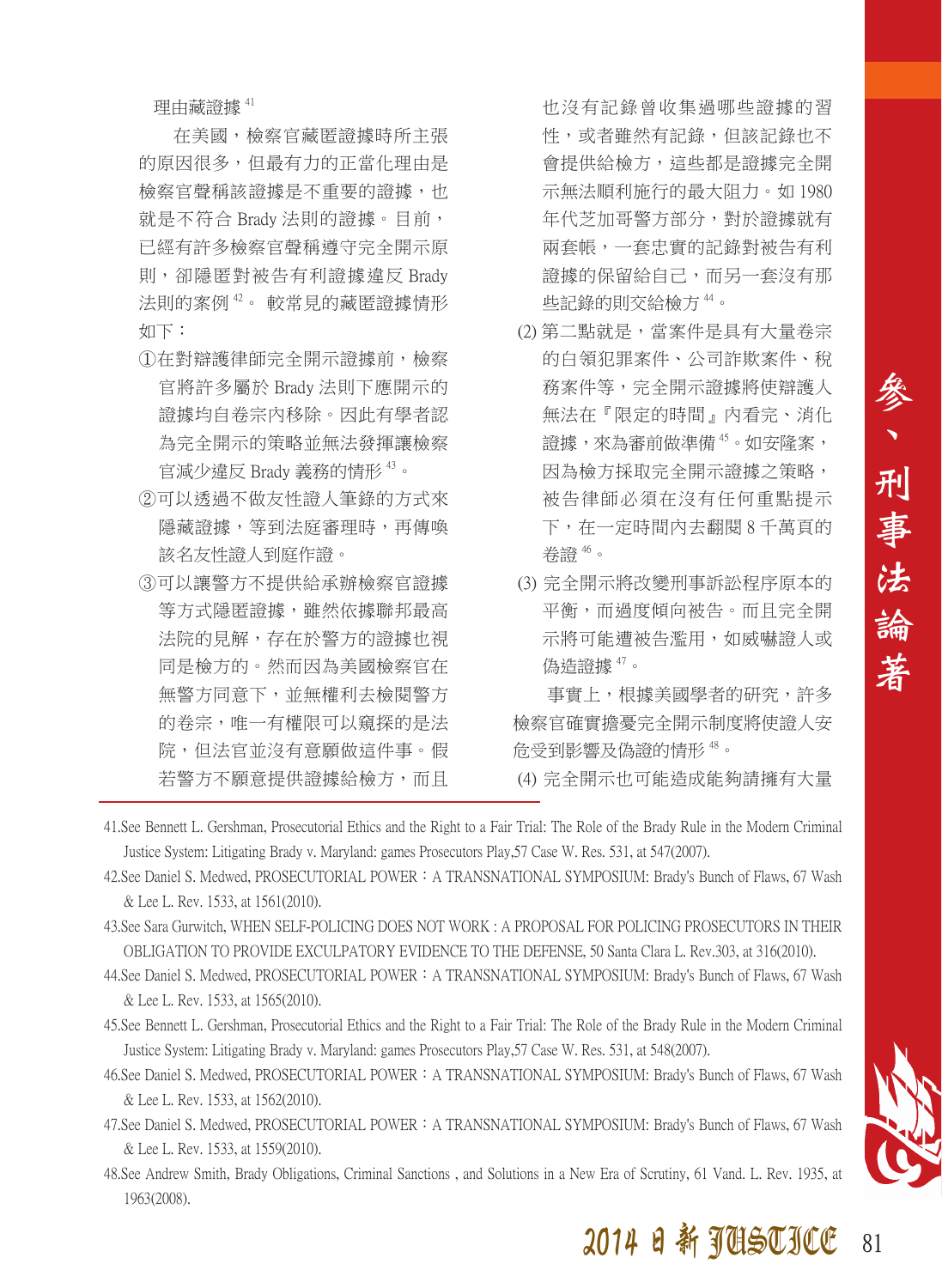理由藏證據 41

在美國,檢察官藏匿證據時所主張 的原因很多,但最有力的正當化理由是 檢察官聲稱該證據是不重要的證據,也 就是不符合 Brady 法則的證據。目前, 已經有許多檢察官聲稱遵守完全開示原 則,卻隱匿對被告有利證據違反 Brady 法則的案例 42。 較常見的藏匿證據情形 如下:

- ①在對辯護律師完全開示證據前,檢察 官將許多屬於 Brady 法則下應開示的 證據均自卷宗內移除。因此有學者認 為完全開示的策略並無法發揮讓檢察 官減少違反 Brady 義務的情形 <sup>43</sup>。
- ②可以透過不做友性證人筆錄的方式來 隱藏證據,等到法庭審理時,再傳喚 該名友性證人到庭作證。
- ③可以讓警方不提供給承辦檢察官證據 等方式隱匿證據,雖然依據聯邦最高 法院的見解,存在於警方的證據也視 同是檢方的。然而因為美國檢察官在 無警方同意下,並無權利去檢閱警方 的卷宗,唯一有權限可以窺探的是法 院,但法官並沒有意願做這件事。假 若警方不願意提供證據給檢方,而且

也沒有記錄曾收集過哪些證據的習 性,或者雖然有記錄,但該記錄也不 會提供給檢方,這些都是證據完全開 示無法順利施行的最大阻力。如 1980 年代芝加哥警方部分,對於證據就有 兩套帳,一套忠實的記錄對被告有利 證據的保留給自己,而另一套沒有那 些記錄的則交給檢方 44。

- (2) 第二點就是,當案件是具有大量卷宗 的白領犯罪案件、公司詐欺案件、稅 務案件等,完全開示證據將使辯護人 無法在『限定的時間』內看完、消化 證據,來為審前做準備 45。如安隆案, 因為檢方採取完全開示證據之策略, 被告律師必須在沒有任何重點提示 下,在一定時間內去翻閱 8 千萬頁的 卷證 46。
- (3) 完全開示將改變刑事訴訟程序原本的 平衡,而過度傾向被告。而且完全開 示將可能遭被告濫用,如威嚇證人或 偽造證據 47。

事實上,根據美國學者的研究,許多 檢察官確實擔憂完全開示制度將使證人安 危受到影響及偽證的情形 48。

(4) 完全開示也可能造成能夠請擁有大量

- 41.See Bennett L. Gershman, Prosecutorial Ethics and the Right to a Fair Trial: The Role of the Brady Rule in the Modern Criminal Justice System: Litigating Brady v. Maryland: games Prosecutors Play,57 Case W. Res. 531, at 547(2007).
- 42.See Daniel S. Medwed, PROSECUTORIAL POWER: A TRANSNATIONAL SYMPOSIUM: Brady's Bunch of Flaws, 67 Wash & Lee L. Rev. 1533, at 1561(2010).
- 43.See Sara Gurwitch, WHEN SELF-POLICING DOES NOT WORK : A PROPOSAL FOR POLICING PROSECUTORS IN THEIR OBLIGATION TO PROVIDE EXCULPATORY EVIDENCE TO THE DEFENSE, 50 Santa Clara L. Rev.303, at 316(2010).
- 44. See Daniel S. Medwed, PROSECUTORIAL POWER: A TRANSNATIONAL SYMPOSIUM: Brady's Bunch of Flaws, 67 Wash & Lee L. Rev. 1533, at 1565(2010).
- 45.See Bennett L. Gershman, Prosecutorial Ethics and the Right to a Fair Trial: The Role of the Brady Rule in the Modern Criminal Justice System: Litigating Brady v. Maryland: games Prosecutors Play,57 Case W. Res. 531, at 548(2007).
- 46.See Daniel S. Medwed, PROSECUTORIAL POWER:A TRANSNATIONAL SYMPOSIUM: Brady's Bunch of Flaws, 67 Wash & Lee L. Rev. 1533, at 1562(2010).
- 47.See Daniel S. Medwed, PROSECUTORIAL POWER: A TRANSNATIONAL SYMPOSIUM: Brady's Bunch of Flaws, 67 Wash & Lee L. Rev. 1533, at 1559(2010).
- 48.See Andrew Smith, Brady Obligations, Criminal Sanctions , and Solutions in a New Era of Scrutiny, 61 Vand. L. Rev. 1935, at 1963(2008).

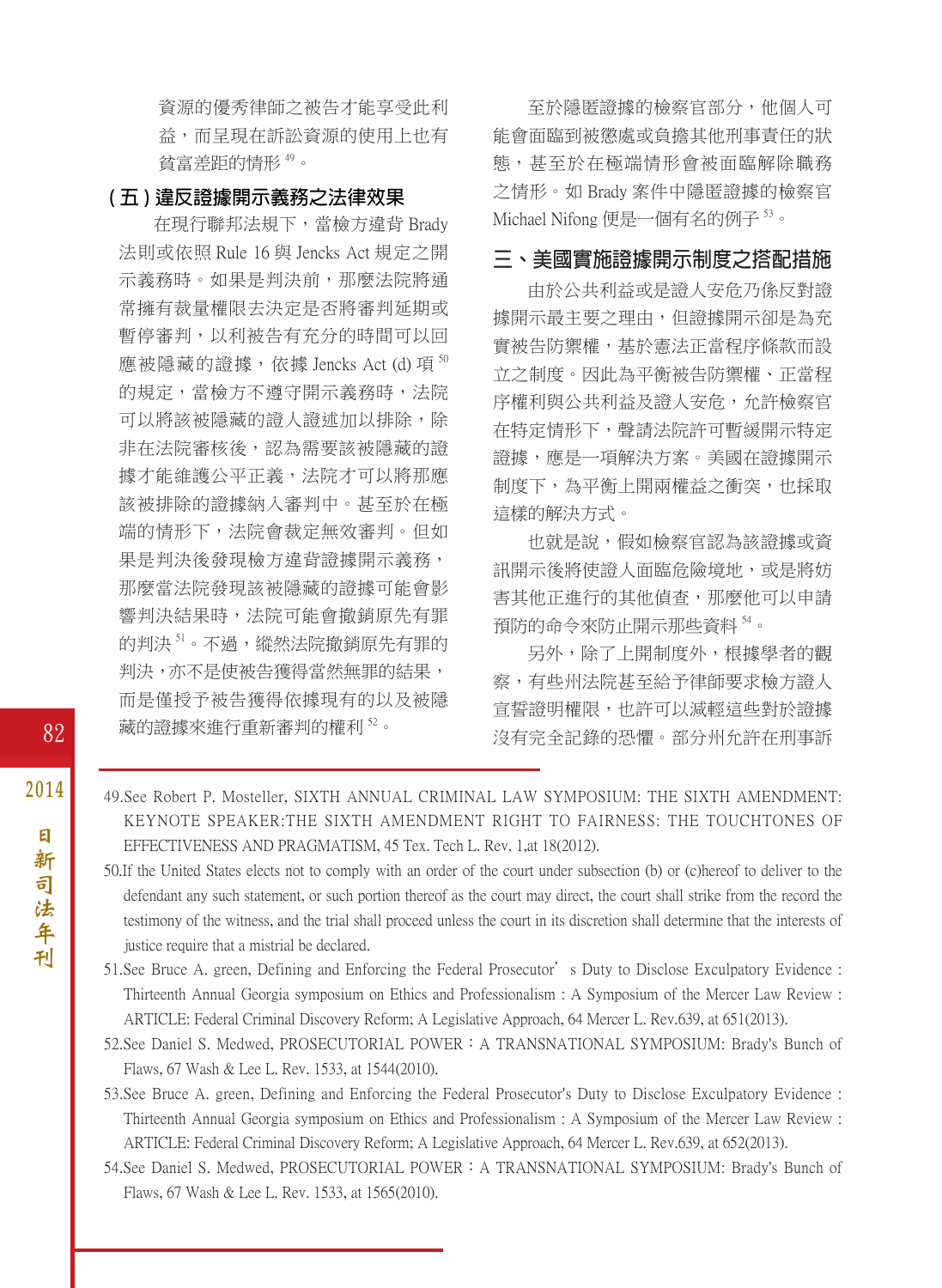資源的優秀律師之被告才能享受此利 益,而呈現在訴訟資源的使用上也有 貧富差距的情形 49。

#### **( 五 ) 違反證據開示義務之法律效果**

在現行聯邦法規下,當檢方違背 Brady 法則或依照 Rule 16 與 Jencks Act 規定之開 示義務時。如果是判決前,那麼法院將通 常擁有裁量權限去決定是否將審判延期或 暫停審判,以利被告有充分的時間可以回 應被隱藏的證據, 依據 Jencks Act (d) 項 $^{50}$ 的規定,當檢方不遵守開示義務時,法院 可以將該被隱藏的證人證述加以排除,除 非在法院審核後,認為需要該被隱藏的證 據才能維護公平正義,法院才可以將那應 該被排除的證據納入審判中。甚至於在極 端的情形下,法院會裁定無效審判。但如 果是判決後發現檢方違背證據開示義務, 那麼當法院發現該被隱藏的證據可能會影 響判決結果時,法院可能會撤銷原先有罪 的判決51。不過,縱然法院撤銷原先有罪的 判決,亦不是使被告獲得當然無罪的結果, 而是僅授予被告獲得依據現有的以及被隱 藏的證據來進行重新審判的權利 52。

至於隱匿證據的檢察官部分,他個人可 能會面臨到被懲處或負擔其他刑事責任的狀 態,甚至於在極端情形會被面臨解除職務 之情形。如 Brady 案件中隱匿證據的檢察官 Michael Nifong 便是一個有名的例子 53。

#### **三、美國實施證據開示制度之搭配措施**

由於公共利益或是證人安危乃係反對證 據開示最主要之理由,但證據開示卻是為充 實被告防禦權,基於憲法正當程序條款而設 立之制度。因此為平衡被告防禦權、正當程 序權利與公共利益及證人安危,允許檢察官 在特定情形下,聲請法院許可暫緩開示特定 證據,應是一項解決方案。美國在證據開示 制度下,為平衡上開兩權益之衝突,也採取 這樣的解決方式。

也就是說,假如檢察官認為該證據或資 訊開示後將使證人面臨危險境地,或是將妨 害其他正進行的其他偵查,那麼他可以申請 預防的命令來防止開示那些資料 54。

另外,除了上開制度外,根據學者的觀 察,有些州法院甚至給予律師要求檢方證人 宣誓證明權限,也許可以減輕這些對於證據 沒有完全記錄的恐懼。部分州允許在刑事訴

- 49.See Robert P. Mosteller, SIXTH ANNUAL CRIMINAL LAW SYMPOSIUM: THE SIXTH AMENDMENT: KEYNOTE SPEAKER:THE SIXTH AMENDMENT RIGHT TO FAIRNESS: THE TOUCHTONES OF EFFECTIVENESS AND PRAGMATISM, 45 Tex. Tech L. Rev. 1,at 18(2012).
- 50.If the United States elects not to comply with an order of the court under subsection (b) or (c)hereof to deliver to the defendant any such statement, or such portion thereof as the court may direct, the court shall strike from the record the testimony of the witness, and the trial shall proceed unless the court in its discretion shall determine that the interests of justice require that a mistrial be declared.
- 51.See Bruce A. green, Defining and Enforcing the Federal Prosecutor's Duty to Disclose Exculpatory Evidence : Thirteenth Annual Georgia symposium on Ethics and Professionalism : A Symposium of the Mercer Law Review : ARTICLE: Federal Criminal Discovery Reform; A Legislative Approach, 64 Mercer L. Rev.639, at 651(2013).
- 52.See Daniel S. Medwed, PROSECUTORIAL POWER:A TRANSNATIONAL SYMPOSIUM: Brady's Bunch of Flaws, 67 Wash & Lee L. Rev. 1533, at 1544(2010).
- 53.See Bruce A. green, Defining and Enforcing the Federal Prosecutor's Duty to Disclose Exculpatory Evidence : Thirteenth Annual Georgia symposium on Ethics and Professionalism : A Symposium of the Mercer Law Review : ARTICLE: Federal Criminal Discovery Reform; A Legislative Approach, 64 Mercer L. Rev.639, at 652(2013).
- 54.See Daniel S. Medwed, PROSECUTORIAL POWER:A TRANSNATIONAL SYMPOSIUM: Brady's Bunch of Flaws, 67 Wash & Lee L. Rev. 1533, at 1565(2010).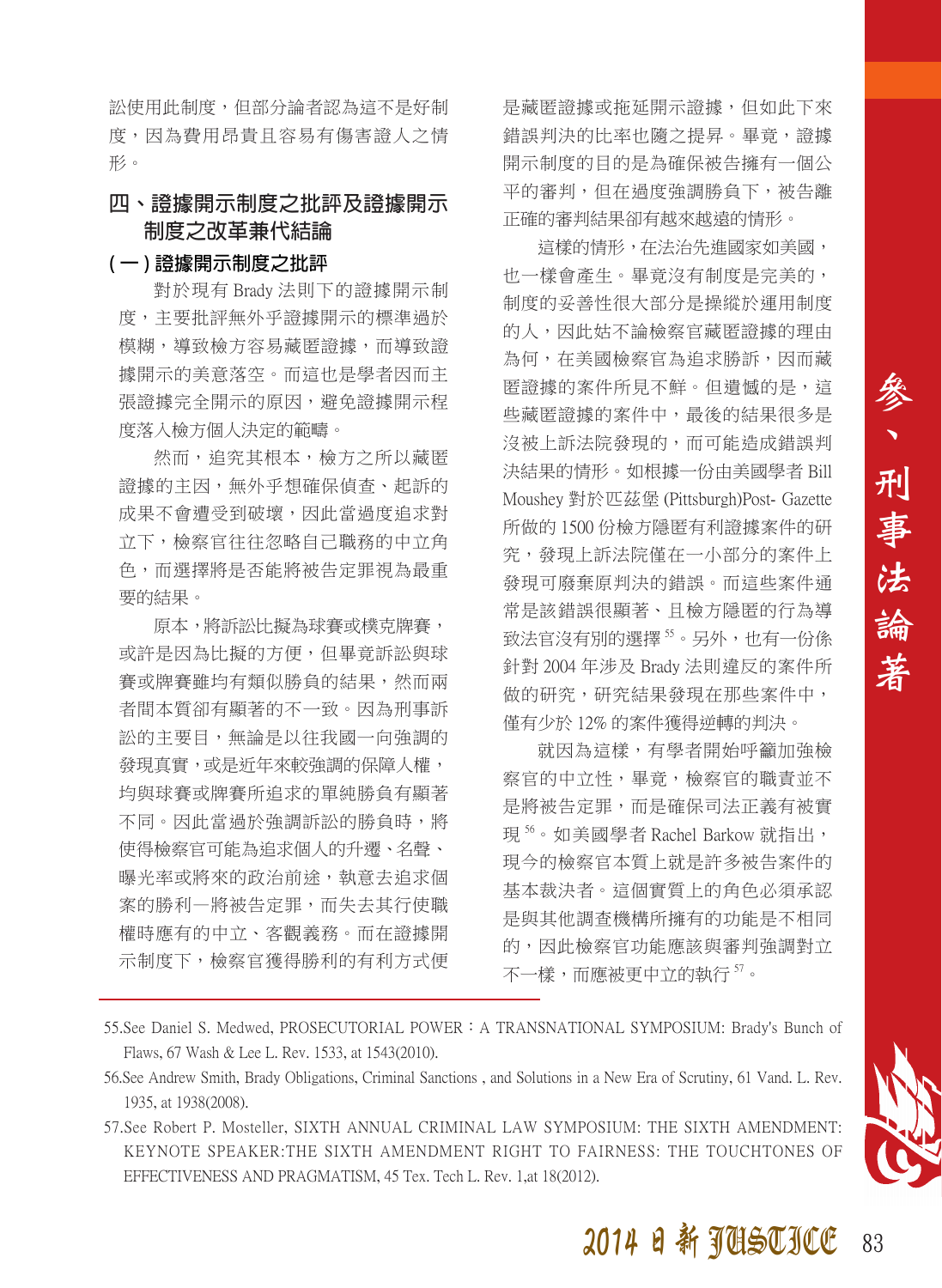訟使用此制度,但部分論者認為這不是好制 度,因為費用昂貴且容易有傷害證人之情 形。

#### **四、證據開示制度之批評及證據開示 制度之改革兼代結論**

#### **( 一 ) 證據開示制度之批評**

對於現有 Brady 法則下的證據開示制 度,主要批評無外乎證據開示的標準過於 模糊,導致檢方容易藏匿證據,而導致證 據開示的美意落空。而這也是學者因而主 張證據完全開示的原因,避免證據開示程 度落入檢方個人決定的範疇。

然而,追究其根本,檢方之所以藏匿 證據的主因,無外乎想確保偵查、起訴的 成果不會遭受到破壞,因此當過度追求對 立下,檢察官往往忽略自己職務的中立角 色,而選擇將是否能將被告定罪視為最重 要的結果。

原本,將訴訟比擬為球賽或樸克牌賽, 或許是因為比擬的方便,但畢竟訴訟與球 賽或牌賽雖均有類似勝負的結果,然而兩 者間本質卻有顯著的不一致。因為刑事訴 訟的主要目,無論是以往我國一向強調的 發現直實,或是折年來較強調的保障人權, 均與球賽或牌賽所追求的單純勝負有顯著 不同。因此當過於強調訴訟的勝負時,將 使得檢察官可能為追求個人的升遷、名聲、 曝光率或將來的政治前途,執意去追求個 案的勝利—將被告定罪,而失去其行使職 權時應有的中立、客觀義務。而在證據開 示制度下,檢察官獲得勝利的有利方式便 是藏匿證據或拖延開示證據,但如此下來 錯誤判決的比率也隨之提昇。畢竟,證據 開示制度的目的是為確保被告擁有一個公 平的審判,但在過度強調勝負下,被告離 正確的審判結果卻有越來越遠的情形。

這樣的情形,在法治先進國家如美國, 也一樣會產生。畢竟沒有制度是完美的, 制度的妥善性很大部分是操縱於運用制度 的人,因此姑不論檢察官藏匿證據的理由 為何,在美國檢察官為追求勝訴,因而藏 匿證據的案件所見不鮮。但遺憾的是,這 些藏匿證據的案件中,最後的結果很多是 沒被上訴法院發現的,而可能造成錯誤判 決結果的情形。如根據一份由美國學者 Bill Moushey 對於匹茲堡 (Pittsburgh)Post- Gazette 所做的 1500 份檢方隱匿有利證據案件的研 究,發現上訴法院僅在一小部分的案件上 發現可廢棄原判決的錯誤。而這些案件通 常是該錯誤很顯著、且檢方隱匿的行為導 致法官沒有別的選擇"。另外,也有一份係 針對 2004 年涉及 Brady 法則違反的案件所 做的研究,研究結果發現在那些案件中, 僅有少於 12% 的案件獲得逆轉的判決。

就因為這樣,有學者開始呼籲加強檢 察官的中立性,畢竟,檢察官的職責並不 是將被告定罪,而是確保司法正義有被實 現<sup>56</sup>。如美國學者 Rachel Barkow 就指出, 現今的檢察官本質上就是許多被告案件的 基本裁決者。這個實質上的角色必須承認 是與其他調查機構所擁有的功能是不相同 的,因此檢察官功能應該與審判強調對立 不一樣,而應被更中立的執行57。

- 55.See Daniel S. Medwed, PROSECUTORIAL POWER: A TRANSNATIONAL SYMPOSIUM: Brady's Bunch of Flaws, 67 Wash & Lee L. Rev. 1533, at 1543(2010).
- 56.See Andrew Smith, Brady Obligations, Criminal Sanctions , and Solutions in a New Era of Scrutiny, 61 Vand. L. Rev. 1935, at 1938(2008).
- 57.See Robert P. Mosteller, SIXTH ANNUAL CRIMINAL LAW SYMPOSIUM: THE SIXTH AMENDMENT: KEYNOTE SPEAKER:THE SIXTH AMENDMENT RIGHT TO FAIRNESS: THE TOUCHTONES OF EFFECTIVENESS AND PRAGMATISM, 45 Tex. Tech L. Rev. 1,at 18(2012).